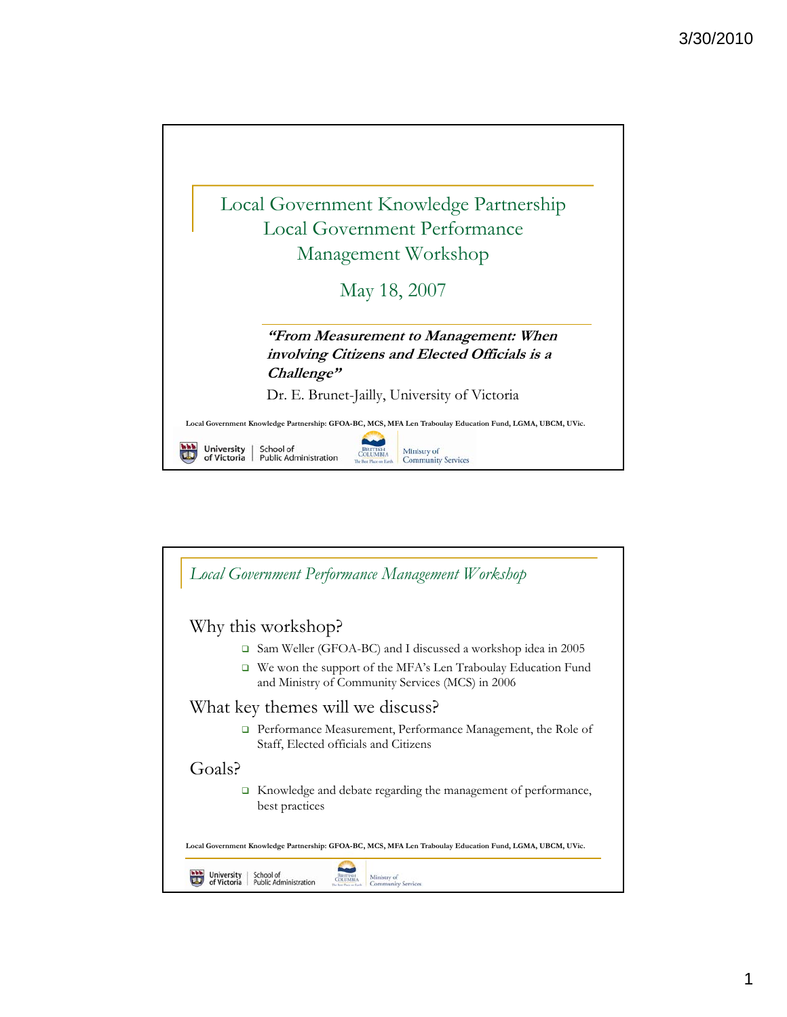

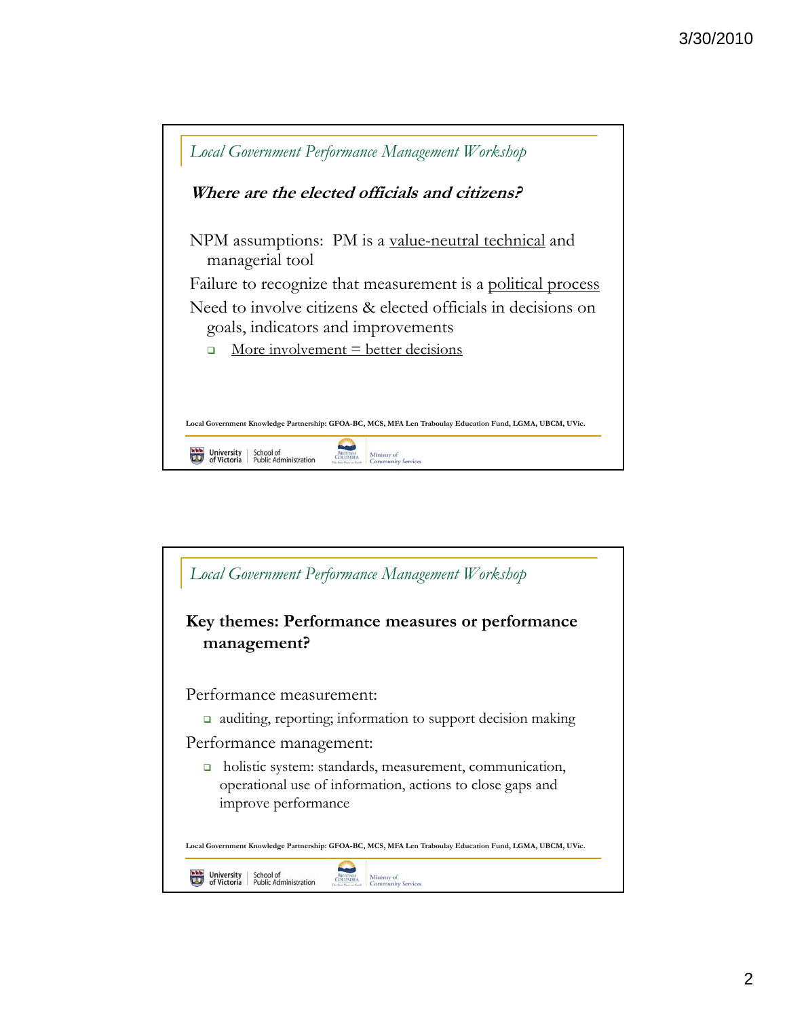

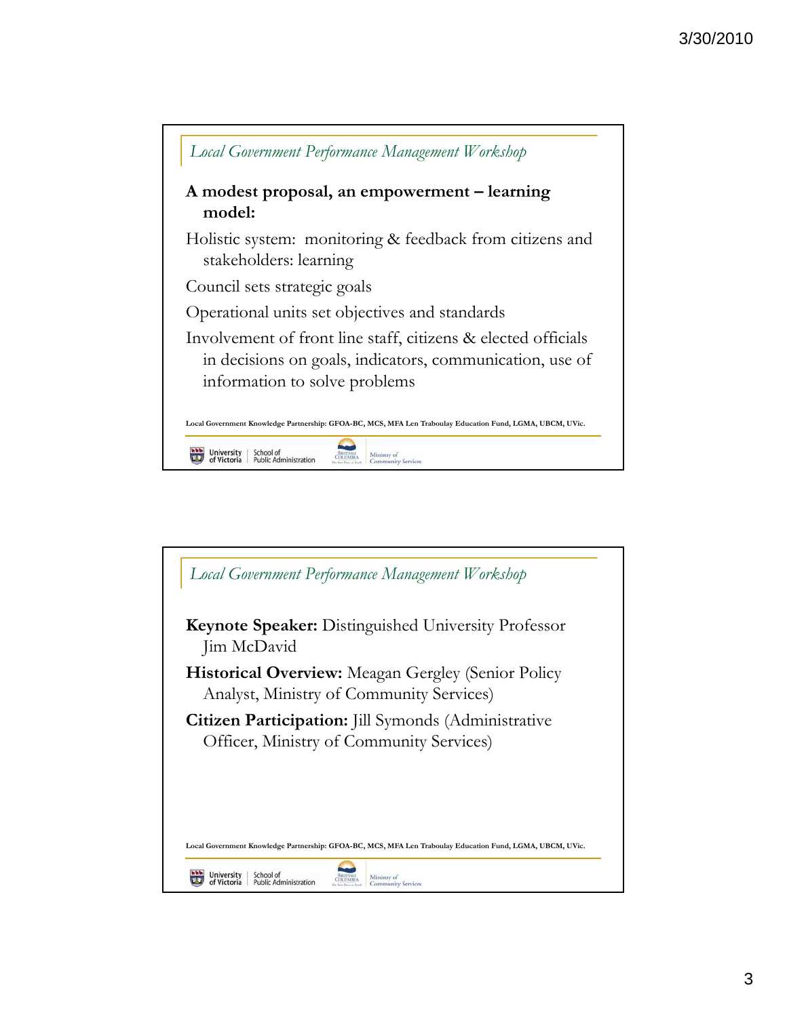

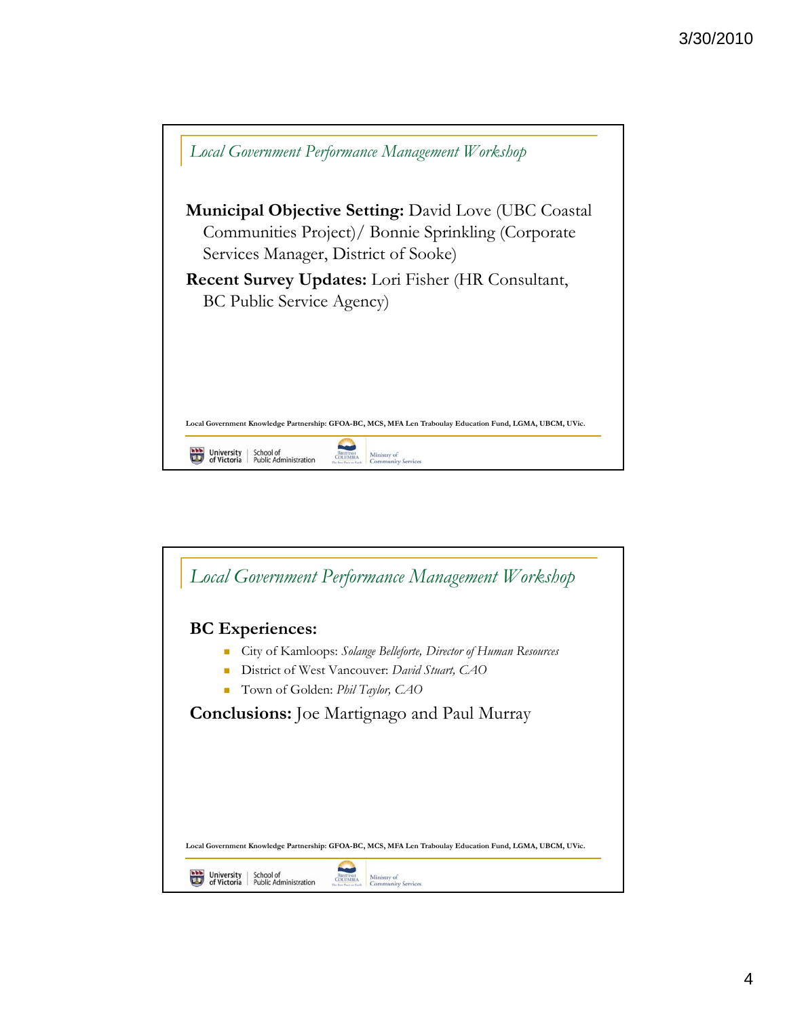